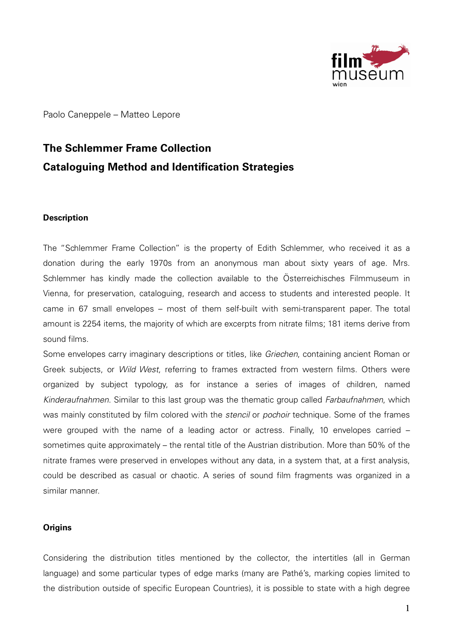

Paolo Caneppele – Matteo Lepore

# **The Schlemmer Frame Collection Cataloguing Method and Identification Strategies**

# **Description**

The "Schlemmer Frame Collection" is the property of Edith Schlemmer, who received it as a donation during the early 1970s from an anonymous man about sixty years of age. Mrs. Schlemmer has kindly made the collection available to the Österreichisches Filmmuseum in Vienna, for preservation, cataloguing, research and access to students and interested people. It came in 67 small envelopes – most of them self-built with semi-transparent paper. The total amount is 2254 items, the majority of which are excerpts from nitrate films; 181 items derive from sound films.

Some envelopes carry imaginary descriptions or titles, like Griechen, containing ancient Roman or Greek subjects, or Wild West, referring to frames extracted from western films. Others were organized by subject typology, as for instance a series of images of children, named Kinderaufnahmen. Similar to this last group was the thematic group called *Farbaufnahmen*, which was mainly constituted by film colored with the *stencil* or *pochoir* technique. Some of the frames were grouped with the name of a leading actor or actress. Finally, 10 envelopes carried – sometimes quite approximately – the rental title of the Austrian distribution. More than 50% of the nitrate frames were preserved in envelopes without any data, in a system that, at a first analysis, could be described as casual or chaotic. A series of sound film fragments was organized in a similar manner.

# **Origins**

Considering the distribution titles mentioned by the collector, the intertitles (all in German language) and some particular types of edge marks (many are Pathé's, marking copies limited to the distribution outside of specific European Countries), it is possible to state with a high degree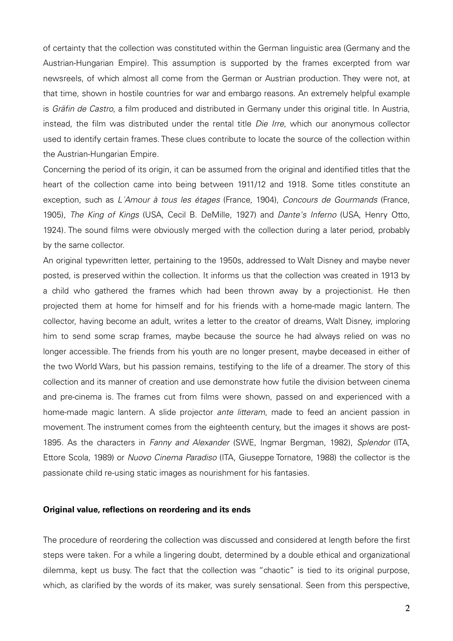of certainty that the collection was constituted within the German linguistic area (Germany and the Austrian-Hungarian Empire). This assumption is supported by the frames excerpted from war newsreels, of which almost all come from the German or Austrian production. They were not, at that time, shown in hostile countries for war and embargo reasons. An extremely helpful example is Gräfin de Castro, a film produced and distributed in Germany under this original title. In Austria, instead, the film was distributed under the rental title Die Irre, which our anonymous collector used to identify certain frames. These clues contribute to locate the source of the collection within the Austrian-Hungarian Empire.

Concerning the period of its origin, it can be assumed from the original and identified titles that the heart of the collection came into being between 1911/12 and 1918. Some titles constitute an exception, such as L´Amour à tous les étages (France, 1904), Concours de Gourmands (France, 1905), The King of Kings (USA, Cecil B. DeMille, 1927) and Dante's Inferno (USA, Henry Otto, 1924). The sound films were obviously merged with the collection during a later period, probably by the same collector.

An original typewritten letter, pertaining to the 1950s, addressed to Walt Disney and maybe never posted, is preserved within the collection. It informs us that the collection was created in 1913 by a child who gathered the frames which had been thrown away by a projectionist. He then projected them at home for himself and for his friends with a home-made magic lantern. The collector, having become an adult, writes a letter to the creator of dreams, Walt Disney, imploring him to send some scrap frames, maybe because the source he had always relied on was no longer accessible. The friends from his youth are no longer present, maybe deceased in either of the two World Wars, but his passion remains, testifying to the life of a dreamer. The story of this collection and its manner of creation and use demonstrate how futile the division between cinema and pre-cinema is. The frames cut from films were shown, passed on and experienced with a home-made magic lantern. A slide projector ante litteram, made to feed an ancient passion in movement. The instrument comes from the eighteenth century, but the images it shows are post-1895. As the characters in Fanny and Alexander (SWE, Ingmar Bergman, 1982), Splendor (ITA, Ettore Scola, 1989) or Nuovo Cinema Paradiso (ITA, Giuseppe Tornatore, 1988) the collector is the passionate child re-using static images as nourishment for his fantasies.

#### **Original value, reflections on reordering and its ends**

The procedure of reordering the collection was discussed and considered at length before the first steps were taken. For a while a lingering doubt, determined by a double ethical and organizational dilemma, kept us busy. The fact that the collection was "chaotic" is tied to its original purpose, which, as clarified by the words of its maker, was surely sensational. Seen from this perspective,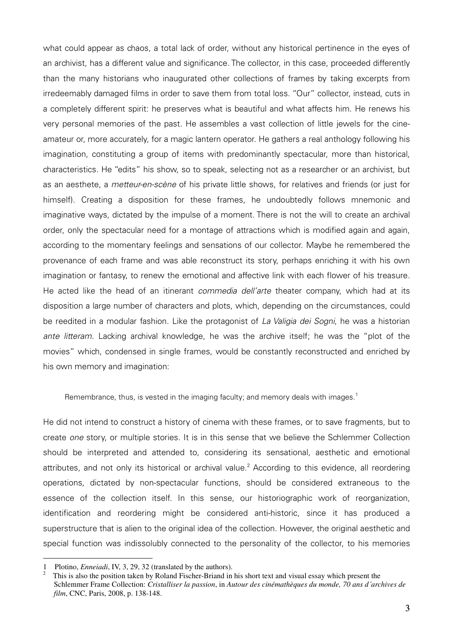what could appear as chaos, a total lack of order, without any historical pertinence in the eyes of an archivist, has a different value and significance. The collector, in this case, proceeded differently than the many historians who inaugurated other collections of frames by taking excerpts from irredeemably damaged films in order to save them from total loss. "Our" collector, instead, cuts in a completely different spirit: he preserves what is beautiful and what affects him. He renews his very personal memories of the past. He assembles a vast collection of little jewels for the cineamateur or, more accurately, for a magic lantern operator. He gathers a real anthology following his imagination, constituting a group of items with predominantly spectacular, more than historical, characteristics. He "edits" his show, so to speak, selecting not as a researcher or an archivist, but as an aesthete, a *metteur-en-scène* of his private little shows, for relatives and friends (or just for himself). Creating a disposition for these frames, he undoubtedly follows mnemonic and imaginative ways, dictated by the impulse of a moment. There is not the will to create an archival order, only the spectacular need for a montage of attractions which is modified again and again, according to the momentary feelings and sensations of our collector. Maybe he remembered the provenance of each frame and was able reconstruct its story, perhaps enriching it with his own imagination or fantasy, to renew the emotional and affective link with each flower of his treasure. He acted like the head of an itinerant *commedia dell'arte* theater company, which had at its disposition a large number of characters and plots, which, depending on the circumstances, could be reedited in a modular fashion. Like the protagonist of La Valigia dei Sogni, he was a historian ante litteram. Lacking archival knowledge, he was the archive itself; he was the "plot of the movies" which, condensed in single frames, would be constantly reconstructed and enriched by his own memory and imagination:

Remembrance, thus, is vested in the imaging faculty; and memory deals with images.<sup>1</sup>

He did not intend to construct a history of cinema with these frames, or to save fragments, but to create one story, or multiple stories. It is in this sense that we believe the Schlemmer Collection should be interpreted and attended to, considering its sensational, aesthetic and emotional attributes, and not only its historical or archival value.<sup>2</sup> According to this evidence, all reordering operations, dictated by non-spectacular functions, should be considered extraneous to the essence of the collection itself. In this sense, our historiographic work of reorganization, identification and reordering might be considered anti-historic, since it has produced a superstructure that is alien to the original idea of the collection. However, the original aesthetic and special function was indissolubly connected to the personality of the collector, to his memories

<sup>1</sup> Plotino, *Enneiadi*, IV, 3, 29, 32 (translated by the authors).

<sup>2</sup> This is also the position taken by Roland Fischer-Briand in his short text and visual essay which present the Schlemmer Frame Collection: *Cristalliser la passion*, in *Autour des cinémathèques du monde, 70 ans d´archives de film*, CNC, Paris, 2008, p. 138-148.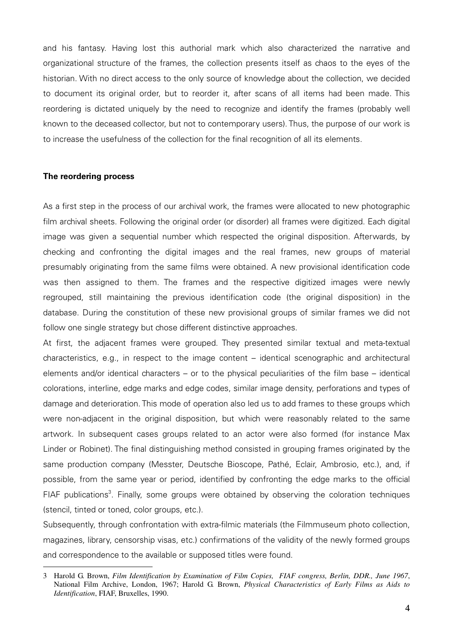and his fantasy. Having lost this authorial mark which also characterized the narrative and organizational structure of the frames, the collection presents itself as chaos to the eyes of the historian. With no direct access to the only source of knowledge about the collection, we decided to document its original order, but to reorder it, after scans of all items had been made. This reordering is dictated uniquely by the need to recognize and identify the frames (probably well known to the deceased collector, but not to contemporary users). Thus, the purpose of our work is to increase the usefulness of the collection for the final recognition of all its elements.

## **The reordering process**

 $\overline{a}$ 

As a first step in the process of our archival work, the frames were allocated to new photographic film archival sheets. Following the original order (or disorder) all frames were digitized. Each digital image was given a sequential number which respected the original disposition. Afterwards, by checking and confronting the digital images and the real frames, new groups of material presumably originating from the same films were obtained. A new provisional identification code was then assigned to them. The frames and the respective digitized images were newly regrouped, still maintaining the previous identification code (the original disposition) in the database. During the constitution of these new provisional groups of similar frames we did not follow one single strategy but chose different distinctive approaches.

At first, the adjacent frames were grouped. They presented similar textual and meta-textual characteristics, e.g., in respect to the image content – identical scenographic and architectural elements and/or identical characters – or to the physical peculiarities of the film base – identical colorations, interline, edge marks and edge codes, similar image density, perforations and types of damage and deterioration. This mode of operation also led us to add frames to these groups which were non-adjacent in the original disposition, but which were reasonably related to the same artwork. In subsequent cases groups related to an actor were also formed (for instance Max Linder or Robinet). The final distinguishing method consisted in grouping frames originated by the same production company (Messter, Deutsche Bioscope, Pathé, Eclair, Ambrosio, etc.), and, if possible, from the same year or period, identified by confronting the edge marks to the official FIAF publications<sup>3</sup>. Finally, some groups were obtained by observing the coloration techniques (stencil, tinted or toned, color groups, etc.).

Subsequently, through confrontation with extra-filmic materials (the Filmmuseum photo collection, magazines, library, censorship visas, etc.) confirmations of the validity of the newly formed groups and correspondence to the available or supposed titles were found.

<sup>3</sup> Harold G. Brown, *Film Identification by Examination of Film Copies, FIAF congress, Berlin, DDR., June 1967*, National Film Archive, London, 1967; Harold G. Brown, *Physical Characteristics of Early Films as Aids to Identification*, FIAF, Bruxelles, 1990.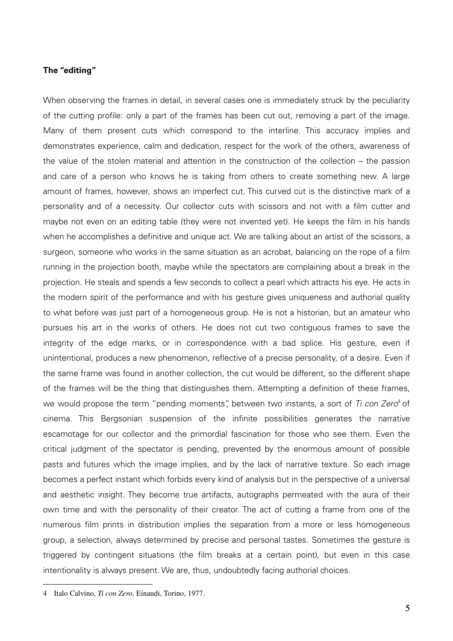## **The "editing"**

When observing the frames in detail, in several cases one is immediately struck by the peculiarity of the cutting profile: only a part of the frames has been cut out, removing a part of the image. Many of them present cuts which correspond to the interline. This accuracy implies and demonstrates experience, calm and dedication, respect for the work of the others, awareness of the value of the stolen material and attention in the construction of the collection – the passion and care of a person who knows he is taking from others to create something new. A large amount of frames, however, shows an imperfect cut. This curved cut is the distinctive mark of a personality and of a necessity. Our collector cuts with scissors and not with a film cutter and maybe not even on an editing table (they were not invented yet). He keeps the film in his hands when he accomplishes a definitive and unique act. We are talking about an artist of the scissors, a surgeon, someone who works in the same situation as an acrobat, balancing on the rope of a film running in the projection booth, maybe while the spectators are complaining about a break in the projection. He steals and spends a few seconds to collect a pearl which attracts his eye. He acts in the modern spirit of the performance and with his gesture gives uniqueness and authorial quality to what before was just part of a homogeneous group. He is not a historian, but an amateur who pursues his art in the works of others. He does not cut two contiguous frames to save the integrity of the edge marks, or in correspondence with a bad splice. His gesture, even if unintentional, produces a new phenomenon, reflective of a precise personality, of a desire. Even if the same frame was found in another collection, the cut would be different, so the different shape of the frames will be the thing that distinguishes them. Attempting a definition of these frames, we would propose the term "pending moments", between two instants, a sort of Ti con Zero<sup>4</sup> of cinema. This Bergsonian suspension of the infinite possibilities generates the narrative escamotage for our collector and the primordial fascination for those who see them. Even the critical judgment of the spectator is pending, prevented by the enormous amount of possible pasts and futures which the image implies, and by the lack of narrative texture. So each image becomes a perfect instant which forbids every kind of analysis but in the perspective of a universal and aesthetic insight. They become true artifacts, autographs permeated with the aura of their own time and with the personality of their creator. The act of cutting a frame from one of the numerous film prints in distribution implies the separation from a more or less homogeneous group, a selection, always determined by precise and personal tastes. Sometimes the gesture is triggered by contingent situations (the film breaks at a certain point), but even in this case intentionality is always present. We are, thus, undoubtedly facing authorial choices.

<sup>4</sup> Italo Calvino, *Ti con Zero*, Einaudi, Torino, 1977.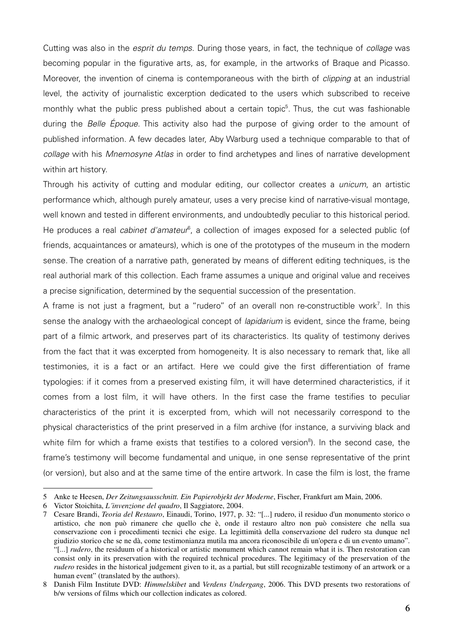Cutting was also in the *esprit du temps*. During those years, in fact, the technique of *collage* was becoming popular in the figurative arts, as, for example, in the artworks of Braque and Picasso. Moreover, the invention of cinema is contemporaneous with the birth of clipping at an industrial level, the activity of journalistic excerption dedicated to the users which subscribed to receive monthly what the public press published about a certain topic<sup>5</sup>. Thus, the cut was fashionable during the Belle Époque. This activity also had the purpose of giving order to the amount of published information. A few decades later, Aby Warburg used a technique comparable to that of collage with his Mnemosyne Atlas in order to find archetypes and lines of narrative development within art history.

Through his activity of cutting and modular editing, our collector creates a *unicum*, an artistic performance which, although purely amateur, uses a very precise kind of narrative-visual montage, well known and tested in different environments, and undoubtedly peculiar to this historical period. He produces a real cabinet d'amateur<sup>6</sup>, a collection of images exposed for a selected public (of friends, acquaintances or amateurs), which is one of the prototypes of the museum in the modern sense. The creation of a narrative path, generated by means of different editing techniques, is the real authorial mark of this collection. Each frame assumes a unique and original value and receives a precise signification, determined by the sequential succession of the presentation.

A frame is not just a fragment, but a "rudero" of an overall non re-constructible work<sup>7</sup>. In this sense the analogy with the archaeological concept of *lapidarium* is evident, since the frame, being part of a filmic artwork, and preserves part of its characteristics. Its quality of testimony derives from the fact that it was excerpted from homogeneity. It is also necessary to remark that, like all testimonies, it is a fact or an artifact. Here we could give the first differentiation of frame typologies: if it comes from a preserved existing film, it will have determined characteristics, if it comes from a lost film, it will have others. In the first case the frame testifies to peculiar characteristics of the print it is excerpted from, which will not necessarily correspond to the physical characteristics of the print preserved in a film archive (for instance, a surviving black and white film for which a frame exists that testifies to a colored version<sup>8</sup>). In the second case, the frame's testimony will become fundamental and unique, in one sense representative of the print (or version), but also and at the same time of the entire artwork. In case the film is lost, the frame

<sup>5</sup> Anke te Heesen, *Der Zeitungsausschnitt. Ein Papierobjekt der Moderne*, Fischer, Frankfurt am Main, 2006.

<sup>6</sup> Victor Stoichita, *L´invenzione del quadro*, Il Saggiatore, 2004.

<sup>7</sup> Cesare Brandi, *Teoria del Restauro*, Einaudi, Torino, 1977, p. 32: "[...] rudero, il residuo d'un monumento storico o artistico, che non può rimanere che quello che è, onde il restauro altro non può consistere che nella sua conservazione con i procedimenti tecnici che esige. La legittimità della conservazione del rudero sta dunque nel giudizio storico che se ne dà, come testimonianza mutila ma ancora riconoscibile di un'opera e di un evento umano". "[...] *rudero*, the residuum of a historical or artistic monument which cannot remain what it is. Then restoration can consist only in its preservation with the required technical procedures. The legitimacy of the preservation of the *rudero* resides in the historical judgement given to it, as a partial, but still recognizable testimony of an artwork or a human event" (translated by the authors).

<sup>8</sup> Danish Film Institute DVD: *Himmelskibet* and *Verdens Undergang*, 2006. This DVD presents two restorations of b/w versions of films which our collection indicates as colored.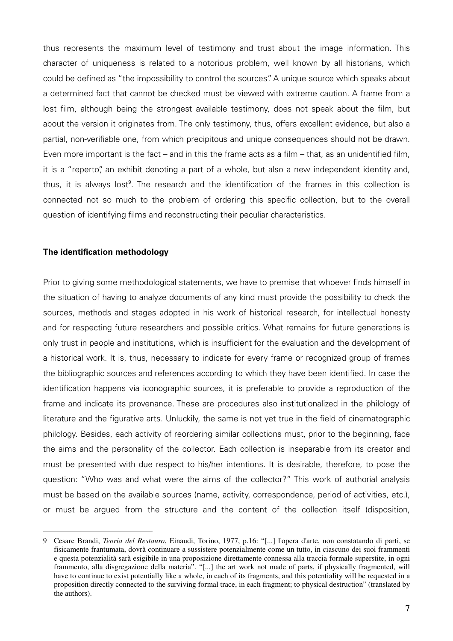thus represents the maximum level of testimony and trust about the image information. This character of uniqueness is related to a notorious problem, well known by all historians, which could be defined as "the impossibility to control the sources". A unique source which speaks about a determined fact that cannot be checked must be viewed with extreme caution. A frame from a lost film, although being the strongest available testimony, does not speak about the film, but about the version it originates from. The only testimony, thus, offers excellent evidence, but also a partial, non-verifiable one, from which precipitous and unique consequences should not be drawn. Even more important is the fact – and in this the frame acts as a film – that, as an unidentified film, it is a "reperto", an exhibit denoting a part of a whole, but also a new independent identity and, thus, it is always lost<sup>9</sup>. The research and the identification of the frames in this collection is connected not so much to the problem of ordering this specific collection, but to the overall question of identifying films and reconstructing their peculiar characteristics.

### **The identification methodology**

 $\overline{a}$ 

Prior to giving some methodological statements, we have to premise that whoever finds himself in the situation of having to analyze documents of any kind must provide the possibility to check the sources, methods and stages adopted in his work of historical research, for intellectual honesty and for respecting future researchers and possible critics. What remains for future generations is only trust in people and institutions, which is insufficient for the evaluation and the development of a historical work. It is, thus, necessary to indicate for every frame or recognized group of frames the bibliographic sources and references according to which they have been identified. In case the identification happens via iconographic sources, it is preferable to provide a reproduction of the frame and indicate its provenance. These are procedures also institutionalized in the philology of literature and the figurative arts. Unluckily, the same is not yet true in the field of cinematographic philology. Besides, each activity of reordering similar collections must, prior to the beginning, face the aims and the personality of the collector. Each collection is inseparable from its creator and must be presented with due respect to his/her intentions. It is desirable, therefore, to pose the question: "Who was and what were the aims of the collector?" This work of authorial analysis must be based on the available sources (name, activity, correspondence, period of activities, etc.), or must be argued from the structure and the content of the collection itself (disposition,

<sup>9</sup> Cesare Brandi, *Teoria del Restauro*, Einaudi, Torino, 1977, p.16: "[...] l'opera d'arte, non constatando di parti, se fisicamente frantumata, dovrà continuare a sussistere potenzialmente come un tutto, in ciascuno dei suoi frammenti e questa potenzialità sarà esigibile in una proposizione direttamente connessa alla traccia formale superstite, in ogni frammento, alla disgregazione della materia". "[...] the art work not made of parts, if physically fragmented, will have to continue to exist potentially like a whole, in each of its fragments, and this potentiality will be requested in a proposition directly connected to the surviving formal trace, in each fragment; to physical destruction" (translated by the authors).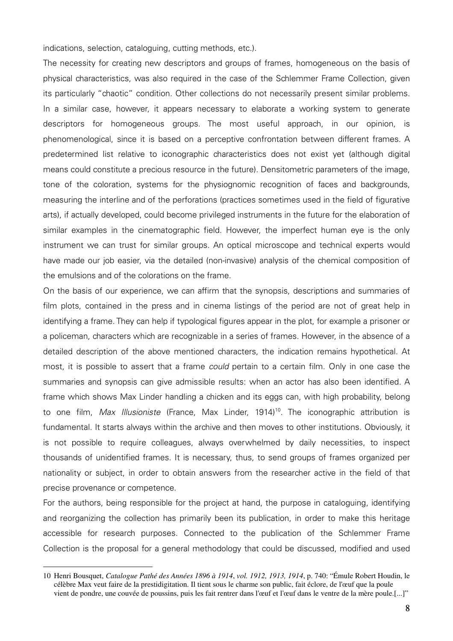indications, selection, cataloguing, cutting methods, etc.).

The necessity for creating new descriptors and groups of frames, homogeneous on the basis of physical characteristics, was also required in the case of the Schlemmer Frame Collection, given its particularly "chaotic" condition. Other collections do not necessarily present similar problems. In a similar case, however, it appears necessary to elaborate a working system to generate descriptors for homogeneous groups. The most useful approach, in our opinion, is phenomenological, since it is based on a perceptive confrontation between different frames. A predetermined list relative to iconographic characteristics does not exist yet (although digital means could constitute a precious resource in the future). Densitometric parameters of the image, tone of the coloration, systems for the physiognomic recognition of faces and backgrounds, measuring the interline and of the perforations (practices sometimes used in the field of figurative arts), if actually developed, could become privileged instruments in the future for the elaboration of similar examples in the cinematographic field. However, the imperfect human eye is the only instrument we can trust for similar groups. An optical microscope and technical experts would have made our job easier, via the detailed (non-invasive) analysis of the chemical composition of the emulsions and of the colorations on the frame.

On the basis of our experience, we can affirm that the synopsis, descriptions and summaries of film plots, contained in the press and in cinema listings of the period are not of great help in identifying a frame. They can help if typological figures appear in the plot, for example a prisoner or a policeman, characters which are recognizable in a series of frames. However, in the absence of a detailed description of the above mentioned characters, the indication remains hypothetical. At most, it is possible to assert that a frame could pertain to a certain film. Only in one case the summaries and synopsis can give admissible results: when an actor has also been identified. A frame which shows Max Linder handling a chicken and its eggs can, with high probability, belong to one film, Max Illusioniste (France, Max Linder, 1914)<sup>10</sup>. The iconographic attribution is fundamental. It starts always within the archive and then moves to other institutions. Obviously, it is not possible to require colleagues, always overwhelmed by daily necessities, to inspect thousands of unidentified frames. It is necessary, thus, to send groups of frames organized per nationality or subject, in order to obtain answers from the researcher active in the field of that precise provenance or competence.

For the authors, being responsible for the project at hand, the purpose in cataloguing, identifying and reorganizing the collection has primarily been its publication, in order to make this heritage accessible for research purposes. Connected to the publication of the Schlemmer Frame Collection is the proposal for a general methodology that could be discussed, modified and used

<sup>10</sup> Henri Bousquet, *Catalogue Pathé des Années 1896 à 1914*, *vol. 1912, 1913, 1914*, p. 740: "Émule Robert Houdin, le célèbre Max veut faire de la prestidigitation. Il tient sous le charme son public, fait éclore, de l'œuf que la poule vient de pondre, une couvée de poussins, puis les fait rentrer dans l'œuf et l'œuf dans le ventre de la mère poule.[...]"